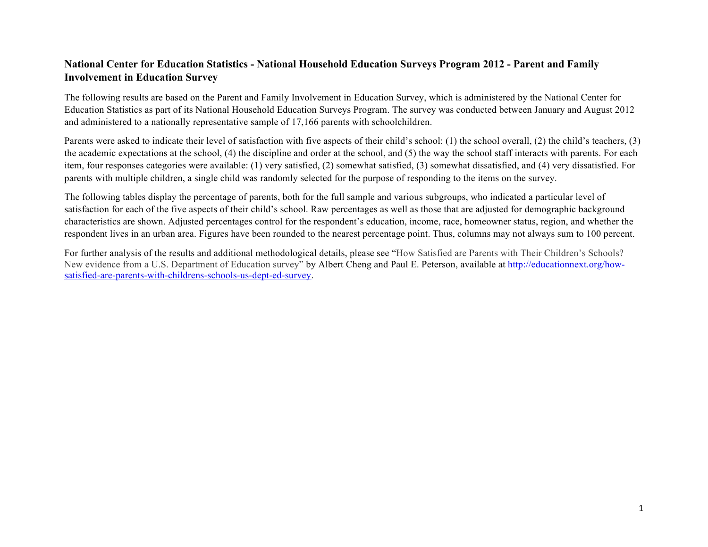## **National Center for Education Statistics - National Household Education Surveys Program 2012 - Parent and Family Involvement in Education Survey**

The following results are based on the Parent and Family Involvement in Education Survey, which is administered by the National Center for Education Statistics as part of its National Household Education Surveys Program. The survey was conducted between January and August 2012 and administered to a nationally representative sample of 17,166 parents with schoolchildren.

Parents were asked to indicate their level of satisfaction with five aspects of their child's school: (1) the school overall, (2) the child's teachers, (3) the academic expectations at the school, (4) the discipline and order at the school, and (5) the way the school staff interacts with parents. For each item, four responses categories were available: (1) very satisfied, (2) somewhat satisfied, (3) somewhat dissatisfied, and (4) very dissatisfied. For parents with multiple children, a single child was randomly selected for the purpose of responding to the items on the survey.

The following tables display the percentage of parents, both for the full sample and various subgroups, who indicated a particular level of satisfaction for each of the five aspects of their child's school. Raw percentages as well as those that are adjusted for demographic background characteristics are shown. Adjusted percentages control for the respondent's education, income, race, homeowner status, region, and whether the respondent lives in an urban area. Figures have been rounded to the nearest percentage point. Thus, columns may not always sum to 100 percent.

For further analysis of the results and additional methodological details, please see "How Satisfied are Parents with Their Children's Schools? New evidence from a U.S. Department of Education survey" by Albert Cheng and Paul E. Peterson, available at http://educationnext.org/howsatisfied-are-parents-with-childrens-schools-us-dept-ed-survey.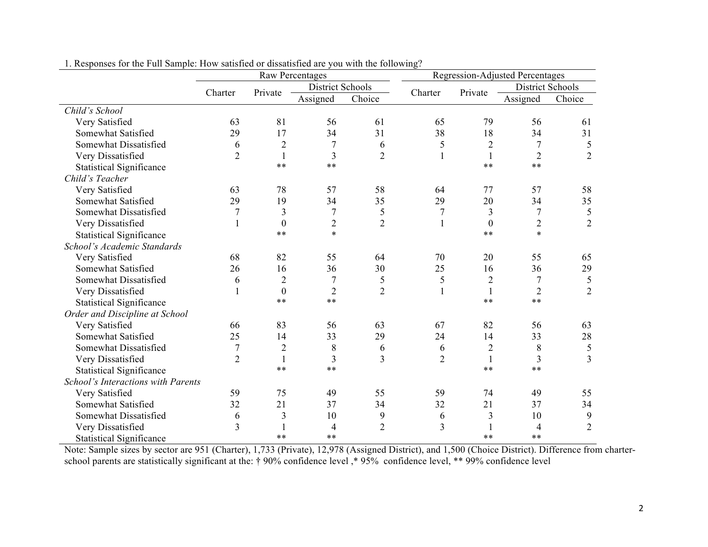|                                    | Raw Percentages |                  |                  |                |                  |                | Regression-Adjusted Percentages |                |
|------------------------------------|-----------------|------------------|------------------|----------------|------------------|----------------|---------------------------------|----------------|
|                                    | Charter         | Private          | District Schools |                | Charter          | Private        | <b>District Schools</b>         |                |
|                                    |                 |                  | Assigned         | Choice         |                  |                | Assigned                        | Choice         |
| Child's School                     |                 |                  |                  |                |                  |                |                                 |                |
| Very Satisfied                     | 63              | 81               | 56               | 61             | 65               | 79             | 56                              | 61             |
| Somewhat Satisfied                 | 29              | 17               | 34               | 31             | 38               | 18             | 34                              | 31             |
| Somewhat Dissatisfied              | 6               | $\overline{2}$   | $\overline{7}$   | 6              | 5                | $\overline{2}$ | $\overline{7}$                  | 5              |
| Very Dissatisfied                  | $\overline{2}$  | $\mathbf{1}$     | $\overline{3}$   | $\overline{2}$ |                  | $\mathbf{1}$   | $\overline{2}$                  | $\overline{2}$ |
| <b>Statistical Significance</b>    |                 | $***$            | $***$            |                |                  | $**$           | $**$                            |                |
| Child's Teacher                    |                 |                  |                  |                |                  |                |                                 |                |
| Very Satisfied                     | 63              | 78               | 57               | 58             | 64               | 77             | 57                              | 58             |
| Somewhat Satisfied                 | 29              | 19               | 34               | 35             | 29               | 20             | 34                              | 35             |
| Somewhat Dissatisfied              | 7               | $\overline{3}$   | $\sqrt{ }$       | 5              | $\boldsymbol{7}$ | $\overline{3}$ | $\overline{7}$                  | 5              |
| Very Dissatisfied                  |                 | $\boldsymbol{0}$ | $\overline{2}$   | $\overline{2}$ |                  | $\theta$       | $\overline{2}$                  | $\overline{2}$ |
| <b>Statistical Significance</b>    |                 | $***$            | $\ast$           |                |                  | $**$           | $\ast$                          |                |
| School's Academic Standards        |                 |                  |                  |                |                  |                |                                 |                |
| Very Satisfied                     | 68              | 82               | 55               | 64             | 70               | 20             | 55                              | 65             |
| Somewhat Satisfied                 | 26              | 16               | 36               | 30             | 25               | 16             | 36                              | 29             |
| Somewhat Dissatisfied              | 6               | $\overline{2}$   | $\boldsymbol{7}$ | 5              | 5                | $\mathbf{2}$   | $\overline{7}$                  | $\mathfrak s$  |
| Very Dissatisfied                  |                 | $\theta$         | $\overline{2}$   | $\overline{2}$ |                  | 1              | $\overline{2}$                  | $\overline{2}$ |
| <b>Statistical Significance</b>    |                 | $***$            | $***$            |                |                  | $**$           | $**$                            |                |
| Order and Discipline at School     |                 |                  |                  |                |                  |                |                                 |                |
| Very Satisfied                     | 66              | 83               | 56               | 63             | 67               | 82             | 56                              | 63             |
| Somewhat Satisfied                 | 25              | 14               | 33               | 29             | 24               | 14             | 33                              | 28             |
| Somewhat Dissatisfied              | 7               | $\mathbf{2}$     | 8                | 6              | 6                | $\mathbf{2}$   | 8                               | 5              |
| Very Dissatisfied                  | $\overline{2}$  | $\mathbf{1}$     | 3                | 3              | $\overline{2}$   | 1              | 3                               | 3              |
| <b>Statistical Significance</b>    |                 | $***$            | $***$            |                |                  | $**$           | $**$                            |                |
| School's Interactions with Parents |                 |                  |                  |                |                  |                |                                 |                |
| Very Satisfied                     | 59              | 75               | 49               | 55             | 59               | 74             | 49                              | 55             |
| Somewhat Satisfied                 | 32              | 21               | 37               | 34             | 32               | 21             | 37                              | 34             |
| Somewhat Dissatisfied              | 6               | 3                | 10               | 9              | 6                | 3              | 10                              | 9              |
| Very Dissatisfied                  | 3               |                  | $\overline{4}$   | $\overline{2}$ | 3                |                | 4                               | $\overline{2}$ |
| <b>Statistical Significance</b>    |                 | $**$             | $**$             |                |                  | $**$           | $**$                            |                |

1. Responses for the Full Sample: How satisfied or dissatisfied are you with the following?

Note: Sample sizes by sector are 951 (Charter), 1,733 (Private), 12,978 (Assigned District), and 1,500 (Choice District). Difference from charterschool parents are statistically significant at the: † 90% confidence level ,\* 95% confidence level, \*\* 99% confidence level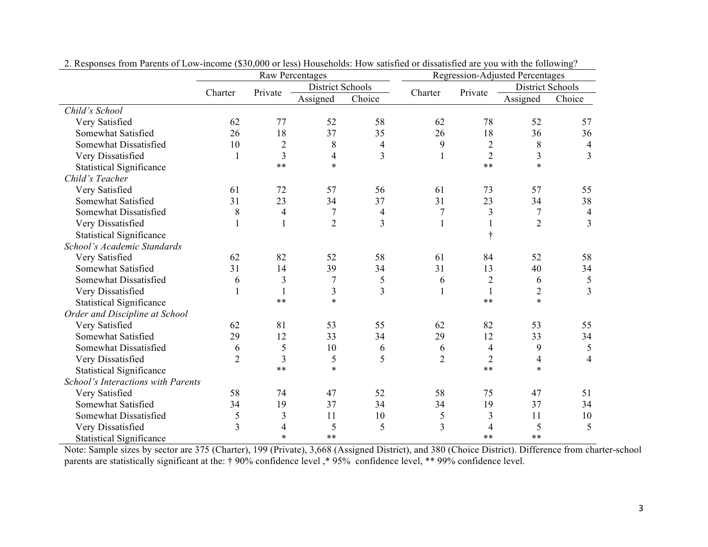|                                    | <b>Raw Percentages</b> |                |                  |                |                |                | <b>Regression-Adjusted Percentages</b> |                |
|------------------------------------|------------------------|----------------|------------------|----------------|----------------|----------------|----------------------------------------|----------------|
|                                    | Charter                | Private        | District Schools |                | Charter        | Private        | <b>District Schools</b>                |                |
|                                    |                        |                | Assigned         | Choice         |                |                | Assigned                               | Choice         |
| Child's School                     |                        |                |                  |                |                |                |                                        |                |
| Very Satisfied                     | 62                     | 77             | 52               | 58             | 62             | 78             | 52                                     | 57             |
| Somewhat Satisfied                 | 26                     | 18             | 37               | 35             | 26             | 18             | 36                                     | 36             |
| Somewhat Dissatisfied              | 10                     | $\overline{2}$ | 8                | 4              | 9              | $\mathbf{2}$   | 8                                      | 4              |
| Very Dissatisfied                  | $\mathbf{1}$           | 3              | $\overline{4}$   | $\overline{3}$ | 1              | $\overline{2}$ | 3                                      | $\overline{3}$ |
| <b>Statistical Significance</b>    |                        | $**$           | $\ast$           |                |                | $**$           | $\ast$                                 |                |
| Child's Teacher                    |                        |                |                  |                |                |                |                                        |                |
| Very Satisfied                     | 61                     | 72             | 57               | 56             | 61             | 73             | 57                                     | 55             |
| Somewhat Satisfied                 | 31                     | 23             | 34               | 37             | 31             | 23             | 34                                     | 38             |
| Somewhat Dissatisfied              | 8                      | 4              | 7                | $\overline{4}$ | 7              | 3              | $\tau$                                 | $\overline{4}$ |
| Very Dissatisfied                  | 1                      |                | $\overline{2}$   | $\overline{3}$ | 1              |                | $\overline{2}$                         | $\overline{3}$ |
| <b>Statistical Significance</b>    |                        |                |                  |                |                |                |                                        |                |
| School's Academic Standards        |                        |                |                  |                |                |                |                                        |                |
| Very Satisfied                     | 62                     | 82             | 52               | 58             | 61             | 84             | 52                                     | 58             |
| Somewhat Satisfied                 | 31                     | 14             | 39               | 34             | 31             | 13             | 40                                     | 34             |
| Somewhat Dissatisfied              | 6                      | $\overline{3}$ | $\overline{7}$   | 5              | 6              | $\overline{2}$ | 6                                      | 5              |
| Very Dissatisfied                  | 1                      |                | 3                | $\overline{3}$ | 1              | $\mathbf{1}$   | $\overline{2}$                         | $\overline{3}$ |
| <b>Statistical Significance</b>    |                        | $**$           | $\ast$           |                |                | $***$          | $\ast$                                 |                |
| Order and Discipline at School     |                        |                |                  |                |                |                |                                        |                |
| Very Satisfied                     | 62                     | 81             | 53               | 55             | 62             | 82             | 53                                     | 55             |
| Somewhat Satisfied                 | 29                     | 12             | 33               | 34             | 29             | 12             | 33                                     | 34             |
| Somewhat Dissatisfied              | 6                      | 5              | 10               | 6              | 6              | $\overline{4}$ | 9                                      | 5              |
| Very Dissatisfied                  | $\overline{2}$         | 3              | 5                | 5              | $\overline{2}$ | $\overline{2}$ | $\overline{4}$                         | $\overline{4}$ |
| <b>Statistical Significance</b>    |                        | $**$           | $\ast$           |                |                | $***$          | $\ast$                                 |                |
| School's Interactions with Parents |                        |                |                  |                |                |                |                                        |                |
| Very Satisfied                     | 58                     | 74             | 47               | 52             | 58             | 75             | 47                                     | 51             |
| Somewhat Satisfied                 | 34                     | 19             | 37               | 34             | 34             | 19             | 37                                     | 34             |
| Somewhat Dissatisfied              | 5                      | 3              | 11               | 10             | 5              | 3              | 11                                     | 10             |
| Very Dissatisfied                  | $\overline{3}$         | 4              | 5                | 5              | 3              | 4              | 5                                      | 5              |
| <b>Statistical Significance</b>    |                        | $\ast$         | $**$             |                |                | $***$          | $**$                                   |                |

2. Responses from Parents of Low-income (\$30,000 or less) Households: How satisfied or dissatisfied are you with the following?

Note: Sample sizes by sector are 375 (Charter), 199 (Private), 3,668 (Assigned District), and 380 (Choice District). Difference from charter-school parents are statistically significant at the: † 90% confidence level, \* 95% confidence level, \*\* 99% confidence level.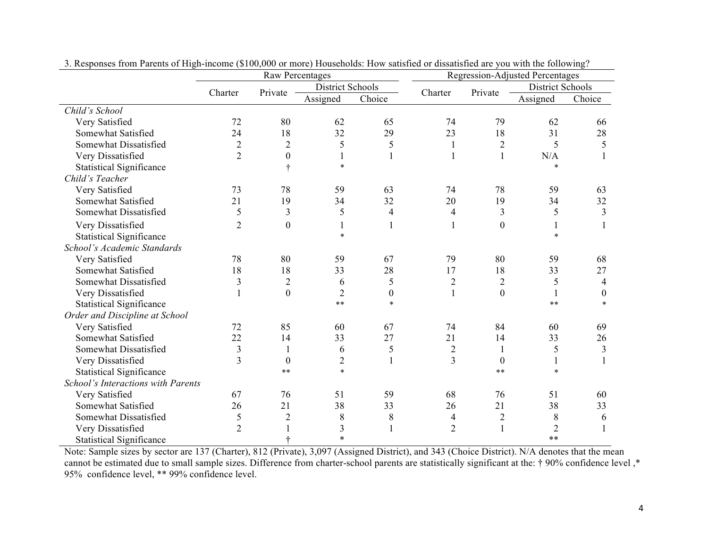|                                    | <b>Raw Percentages</b> |                  |                         |                  |                |                  | <b>Regression-Adjusted Percentages</b> |                  |
|------------------------------------|------------------------|------------------|-------------------------|------------------|----------------|------------------|----------------------------------------|------------------|
|                                    | Charter                | Private          | <b>District Schools</b> |                  | Charter        | Private          | <b>District Schools</b>                |                  |
|                                    |                        |                  | Assigned                | Choice           |                |                  | Assigned                               | Choice           |
| Child's School                     |                        |                  |                         |                  |                |                  |                                        |                  |
| Very Satisfied                     | 72                     | 80               | 62                      | 65               | 74             | 79               | 62                                     | 66               |
| Somewhat Satisfied                 | 24                     | 18               | 32                      | 29               | 23             | 18               | 31                                     | 28               |
| Somewhat Dissatisfied              | $\mathbf 2$            | $\overline{c}$   | 5                       | 5                |                | $\overline{2}$   | 5                                      | 5                |
| Very Dissatisfied                  | $\overline{2}$         | $\boldsymbol{0}$ | 1                       | $\mathbf{1}$     |                | 1                | N/A                                    |                  |
| <b>Statistical Significance</b>    |                        | ÷                | $\ast$                  |                  |                |                  | $\ast$                                 |                  |
| Child's Teacher                    |                        |                  |                         |                  |                |                  |                                        |                  |
| Very Satisfied                     | 73                     | 78               | 59                      | 63               | 74             | 78               | 59                                     | 63               |
| Somewhat Satisfied                 | 21                     | 19               | 34                      | 32               | 20             | 19               | 34                                     | 32               |
| Somewhat Dissatisfied              | 5                      | 3                | 5                       | $\overline{4}$   | 4              | $\overline{3}$   | 5                                      | 3                |
| Very Dissatisfied                  | $\overline{2}$         | $\mathbf{0}$     | 1                       | 1                |                | $\boldsymbol{0}$ | 1                                      |                  |
| <b>Statistical Significance</b>    |                        |                  | $\ast$                  |                  |                |                  | $\star$                                |                  |
| School's Academic Standards        |                        |                  |                         |                  |                |                  |                                        |                  |
| Very Satisfied                     | 78                     | 80               | 59                      | 67               | 79             | 80               | 59                                     | 68               |
| Somewhat Satisfied                 | 18                     | 18               | 33                      | 28               | 17             | 18               | 33                                     | 27               |
| Somewhat Dissatisfied              | $\overline{3}$         | $\overline{2}$   | 6                       | 5                | $\overline{2}$ | $\overline{2}$   | 5                                      | $\overline{4}$   |
| Very Dissatisfied                  |                        | $\overline{0}$   | $\overline{c}$          | $\boldsymbol{0}$ |                | $\overline{0}$   |                                        | $\boldsymbol{0}$ |
| <b>Statistical Significance</b>    |                        |                  | $* *$                   | $\ast$           |                |                  | $* *$                                  | $\ast$           |
| Order and Discipline at School     |                        |                  |                         |                  |                |                  |                                        |                  |
| Very Satisfied                     | 72                     | 85               | 60                      | 67               | 74             | 84               | 60                                     | 69               |
| Somewhat Satisfied                 | 22                     | 14               | 33                      | 27               | 21             | 14               | 33                                     | 26               |
| Somewhat Dissatisfied              | $\mathfrak{Z}$         |                  | 6                       | 5                | $\overline{2}$ | 1                | 5                                      | $\mathfrak{Z}$   |
| Very Dissatisfied                  | $\overline{3}$         | $\boldsymbol{0}$ | $\overline{2}$          | $\mathbf{1}$     | 3              | $\theta$         |                                        |                  |
| <b>Statistical Significance</b>    |                        | $* *$            | $\ast$                  |                  |                | $***$            | $\ast$                                 |                  |
| School's Interactions with Parents |                        |                  |                         |                  |                |                  |                                        |                  |
| Very Satisfied                     | 67                     | 76               | 51                      | 59               | 68             | 76               | 51                                     | 60               |
| Somewhat Satisfied                 | 26                     | 21               | 38                      | 33               | 26             | 21               | 38                                     | 33               |
| Somewhat Dissatisfied              | 5                      | $\overline{2}$   | 8                       | $8\,$            | 4              | $\overline{2}$   | 8                                      | 6                |
| Very Dissatisfied                  | $\overline{2}$         |                  | 3                       |                  | $\overline{2}$ | 1                | $\overline{2}$                         |                  |
| <b>Statistical Significance</b>    |                        |                  | $\ast$                  |                  |                |                  | $**$                                   |                  |

3. Responses from Parents of High-income (\$100,000 or more) Households: How satisfied or dissatisfied are you with the following?

Note: Sample sizes by sector are 137 (Charter), 812 (Private), 3,097 (Assigned District), and 343 (Choice District). N/A denotes that the mean cannot be estimated due to small sample sizes. Difference from charter-school parents are statistically significant at the: † 90% confidence level ,\* 95% confidence level, \*\* 99% confidence level.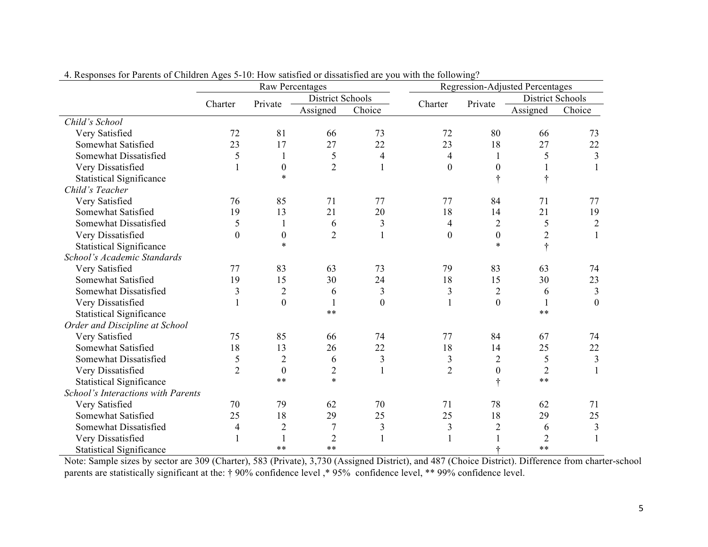|                                    | Raw Percentages  |                  |                         |                  |                         |                  | <b>Regression-Adjusted Percentages</b> |                |
|------------------------------------|------------------|------------------|-------------------------|------------------|-------------------------|------------------|----------------------------------------|----------------|
|                                    | Charter          | Private          | <b>District Schools</b> |                  | Charter                 | Private          | <b>District Schools</b>                |                |
|                                    |                  |                  | Assigned                | Choice           |                         |                  | Assigned                               | Choice         |
| Child's School                     |                  |                  |                         |                  |                         |                  |                                        |                |
| Very Satisfied                     | 72               | 81               | 66                      | 73               | 72                      | 80               | 66                                     | 73             |
| Somewhat Satisfied                 | 23               | 17               | 27                      | 22               | 23                      | 18               | 27                                     | 22             |
| Somewhat Dissatisfied              | 5                | 1                | 5                       | 4                | 4                       |                  | 5                                      | 3              |
| Very Dissatisfied                  |                  | $\boldsymbol{0}$ | $\overline{2}$          | $\mathbf{1}$     | $\boldsymbol{0}$        | $\boldsymbol{0}$ |                                        |                |
| <b>Statistical Significance</b>    |                  | $\ast$           |                         |                  |                         |                  | ÷                                      |                |
| Child's Teacher                    |                  |                  |                         |                  |                         |                  |                                        |                |
| Very Satisfied                     | 76               | 85               | 71                      | 77               | 77                      | 84               | 71                                     | 77             |
| Somewhat Satisfied                 | 19               | 13               | 21                      | 20               | 18                      | 14               | 21                                     | 19             |
| Somewhat Dissatisfied              | 5                | 1                | 6                       | 3                | 4                       | $\overline{2}$   | 5                                      | $\overline{2}$ |
| Very Dissatisfied                  | $\boldsymbol{0}$ | $\boldsymbol{0}$ | $\overline{2}$          |                  | $\boldsymbol{0}$        | $\boldsymbol{0}$ | $\overline{c}$                         | 1              |
| <b>Statistical Significance</b>    |                  | $\ast$           |                         |                  |                         | $\ast$           | $\ddot{\tau}$                          |                |
| School's Academic Standards        |                  |                  |                         |                  |                         |                  |                                        |                |
| Very Satisfied                     | 77               | 83               | 63                      | 73               | 79                      | 83               | 63                                     | 74             |
| Somewhat Satisfied                 | 19               | 15               | 30                      | 24               | 18                      | 15               | 30                                     | 23             |
| Somewhat Dissatisfied              | 3                | $\overline{2}$   | 6                       | 3                | 3                       | $\overline{c}$   | 6                                      | $\overline{3}$ |
| Very Dissatisfied                  |                  | $\mathbf{0}$     | $\mathbf{1}$            | $\boldsymbol{0}$ |                         | $\boldsymbol{0}$ |                                        | $\overline{0}$ |
| <b>Statistical Significance</b>    |                  |                  | $**$                    |                  |                         |                  | $**$                                   |                |
| Order and Discipline at School     |                  |                  |                         |                  |                         |                  |                                        |                |
| Very Satisfied                     | 75               | 85               | 66                      | 74               | 77                      | 84               | 67                                     | 74             |
| Somewhat Satisfied                 | 18               | 13               | 26                      | 22               | 18                      | 14               | 25                                     | 22             |
| Somewhat Dissatisfied              | 5                | $\overline{2}$   | 6                       | $\mathfrak{Z}$   | $\overline{\mathbf{3}}$ | $\overline{2}$   | 5                                      | $\mathfrak{Z}$ |
| Very Dissatisfied                  | $\overline{2}$   | $\boldsymbol{0}$ | $\overline{2}$          | $\mathbf{1}$     | $\overline{2}$          | $\boldsymbol{0}$ | $\overline{2}$                         |                |
| <b>Statistical Significance</b>    |                  | $**$             | $\ast$                  |                  |                         | ÷                | $**$                                   |                |
| School's Interactions with Parents |                  |                  |                         |                  |                         |                  |                                        |                |
| Very Satisfied                     | 70               | 79               | 62                      | 70               | 71                      | 78               | 62                                     | 71             |
| Somewhat Satisfied                 | 25               | 18               | 29                      | 25               | 25                      | 18               | 29                                     | 25             |
| Somewhat Dissatisfied              | 4                | $\overline{2}$   | 7                       | $\overline{3}$   | 3                       | $\overline{2}$   | 6                                      | 3              |
| Very Dissatisfied                  | 1                |                  | $\overline{2}$          |                  |                         |                  | $\overline{2}$                         |                |
| <b>Statistical Significance</b>    |                  | $**$             | $**$                    |                  |                         |                  | $**$                                   |                |

4. Responses for Parents of Children Ages 5-10: How satisfied or dissatisfied are you with the following?

Note: Sample sizes by sector are 309 (Charter), 583 (Private), 3,730 (Assigned District), and 487 (Choice District). Difference from charter-school parents are statistically significant at the: † 90% confidence level ,\* 95% confidence level, \*\* 99% confidence level.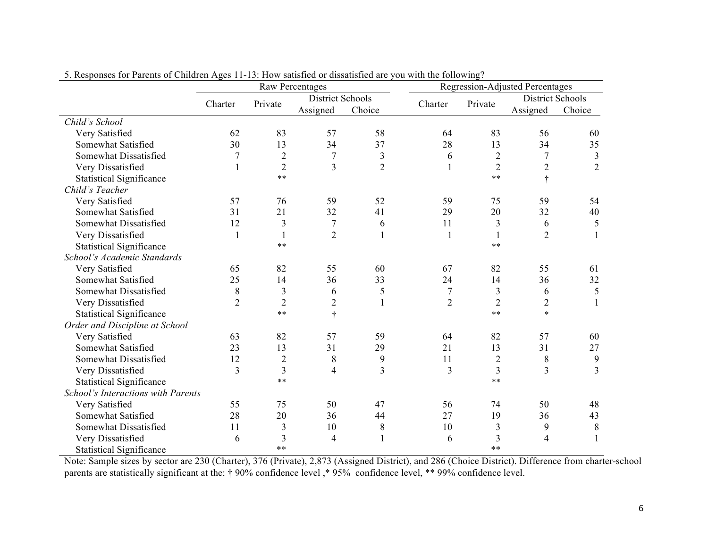|                                    |                |                | <b>Raw Percentages</b> |                |                |                | <b>Regression-Adjusted Percentages</b> |                |
|------------------------------------|----------------|----------------|------------------------|----------------|----------------|----------------|----------------------------------------|----------------|
|                                    | Charter        | Private        | District Schools       |                | Charter        | Private        | District Schools                       |                |
|                                    |                |                | Assigned               | Choice         |                |                | Assigned                               | Choice         |
| Child's School                     |                |                |                        |                |                |                |                                        |                |
| Very Satisfied                     | 62             | 83             | 57                     | 58             | 64             | 83             | 56                                     | 60             |
| Somewhat Satisfied                 | 30             | 13             | 34                     | 37             | 28             | 13             | 34                                     | 35             |
| Somewhat Dissatisfied              | 7              | $\overline{2}$ | $\tau$                 | 3              | 6              | $\overline{2}$ | 7                                      | 3              |
| Very Dissatisfied                  | $\mathbf{1}$   | $\overline{2}$ | 3                      | $\overline{2}$ |                | $\overline{2}$ | $\overline{2}$                         | $\overline{2}$ |
| <b>Statistical Significance</b>    |                | $***$          |                        |                |                | $\ast\ast$     | $\dagger$                              |                |
| Child's Teacher                    |                |                |                        |                |                |                |                                        |                |
| Very Satisfied                     | 57             | 76             | 59                     | 52             | 59             | 75             | 59                                     | 54             |
| Somewhat Satisfied                 | 31             | 21             | 32                     | 41             | 29             | 20             | 32                                     | 40             |
| Somewhat Dissatisfied              | 12             | 3              | 7                      | 6              | 11             | 3              | 6                                      | 5              |
| Very Dissatisfied                  | $\mathbf{1}$   | $\mathbf{1}$   | $\overline{2}$         | 1              | $\mathbf{1}$   | 1              | $\overline{2}$                         | 1              |
| <b>Statistical Significance</b>    |                | $\ast\ast$     |                        |                |                | $\ast\ast$     |                                        |                |
| School's Academic Standards        |                |                |                        |                |                |                |                                        |                |
| Very Satisfied                     | 65             | 82             | 55                     | 60             | 67             | 82             | 55                                     | 61             |
| Somewhat Satisfied                 | 25             | 14             | 36                     | 33             | 24             | 14             | 36                                     | 32             |
| Somewhat Dissatisfied              | 8              | 3              | 6                      | 5              | $\tau$         | 3              | 6                                      | 5              |
| Very Dissatisfied                  | $\overline{2}$ | $\overline{2}$ | $\overline{2}$         |                | $\overline{2}$ | $\overline{2}$ | $\overline{2}$                         | 1              |
| <b>Statistical Significance</b>    |                | $***$          | $\dagger$              |                |                | $* *$          | $\ast$                                 |                |
| Order and Discipline at School     |                |                |                        |                |                |                |                                        |                |
| Very Satisfied                     | 63             | 82             | 57                     | 59             | 64             | 82             | 57                                     | 60             |
| Somewhat Satisfied                 | 23             | 13             | 31                     | 29             | 21             | 13             | 31                                     | 27             |
| Somewhat Dissatisfied              | 12             | $\overline{c}$ | $8\,$                  | 9              | 11             | $\overline{c}$ | 8                                      | 9              |
| Very Dissatisfied                  | 3              | $\overline{3}$ | 4                      | 3              | 3              | 3              | $\mathfrak{Z}$                         | $\overline{3}$ |
| <b>Statistical Significance</b>    |                | $\ast\ast$     |                        |                |                | $\ast\ast$     |                                        |                |
| School's Interactions with Parents |                |                |                        |                |                |                |                                        |                |
| Very Satisfied                     | 55             | 75             | 50                     | 47             | 56             | 74             | 50                                     | 48             |
| Somewhat Satisfied                 | 28             | 20             | 36                     | 44             | 27             | 19             | 36                                     | 43             |
| Somewhat Dissatisfied              | 11             | $\mathfrak{Z}$ | 10                     | $8\,$          | 10             | 3              | 9                                      | 8              |
| Very Dissatisfied                  | 6              | 3              | 4                      |                | 6              | 3              | $\overline{4}$                         | 1              |
| <b>Statistical Significance</b>    |                | $***$          |                        |                |                | $***$          |                                        |                |

5. Responses for Parents of Children Ages 11-13: How satisfied or dissatisfied are you with the following?

Note: Sample sizes by sector are 230 (Charter), 376 (Private), 2,873 (Assigned District), and 286 (Choice District). Difference from charter-school parents are statistically significant at the: † 90% confidence level ,\* 95% confidence level, \*\* 99% confidence level.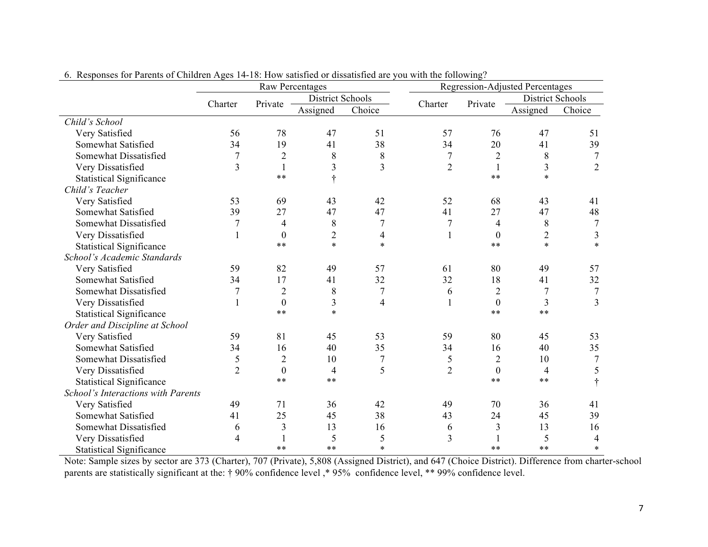|                                    | <b>Raw Percentages</b> |                  |                  |                |                |                  | Regression-Adjusted Percentages |                |
|------------------------------------|------------------------|------------------|------------------|----------------|----------------|------------------|---------------------------------|----------------|
|                                    | Charter                | Private          | District Schools |                | Charter        | Private          | <b>District Schools</b>         |                |
|                                    |                        |                  | Assigned         | Choice         |                |                  | Assigned                        | Choice         |
| Child's School                     |                        |                  |                  |                |                |                  |                                 |                |
| Very Satisfied                     | 56                     | 78               | 47               | 51             | 57             | 76               | 47                              | 51             |
| Somewhat Satisfied                 | 34                     | 19               | 41               | 38             | 34             | 20               | 41                              | 39             |
| Somewhat Dissatisfied              | 7                      | $\overline{2}$   | 8                | 8              | $\overline{7}$ | $\overline{2}$   | 8                               | 7              |
| Very Dissatisfied                  | $\overline{3}$         | $\mathbf{1}$     | 3                | $\overline{3}$ | $\overline{2}$ | 1                | $\overline{3}$                  | $\overline{2}$ |
| <b>Statistical Significance</b>    |                        | $**$             |                  |                |                | $***$            | $\ast$                          |                |
| Child's Teacher                    |                        |                  |                  |                |                |                  |                                 |                |
| Very Satisfied                     | 53                     | 69               | 43               | 42             | 52             | 68               | 43                              | 41             |
| Somewhat Satisfied                 | 39                     | 27               | 47               | 47             | 41             | 27               | 47                              | 48             |
| Somewhat Dissatisfied              | $\overline{7}$         | 4                | 8                | $\overline{7}$ | $\overline{7}$ | 4                | 8                               | 7              |
| Very Dissatisfied                  |                        | $\boldsymbol{0}$ | $\overline{2}$   | 4              |                | $\theta$         | $\overline{2}$                  | 3              |
| <b>Statistical Significance</b>    |                        | $***$            | $\ast$           | $\ast$         |                | $**$             | $\ast$                          | $\ast$         |
| School's Academic Standards        |                        |                  |                  |                |                |                  |                                 |                |
| Very Satisfied                     | 59                     | 82               | 49               | 57             | 61             | 80               | 49                              | 57             |
| Somewhat Satisfied                 | 34                     | 17               | 41               | 32             | 32             | 18               | 41                              | 32             |
| Somewhat Dissatisfied              | 7                      | $\overline{2}$   | 8                | $\overline{7}$ | 6              | $\overline{2}$   | 7                               | $\overline{7}$ |
| Very Dissatisfied                  |                        | $\boldsymbol{0}$ | 3                | 4              |                | $\theta$         | 3                               | $\overline{3}$ |
| <b>Statistical Significance</b>    |                        | $**$             | $\ast$           |                |                | $***$            | $**$                            |                |
| Order and Discipline at School     |                        |                  |                  |                |                |                  |                                 |                |
| Very Satisfied                     | 59                     | 81               | 45               | 53             | 59             | 80               | 45                              | 53             |
| Somewhat Satisfied                 | 34                     | 16               | 40               | 35             | 34             | 16               | 40                              | 35             |
| Somewhat Dissatisfied              | 5                      | $\overline{2}$   | 10               | $\overline{7}$ | 5              | $\mathbf{2}$     | 10                              | $\overline{7}$ |
| Very Dissatisfied                  | $\overline{2}$         | $\boldsymbol{0}$ | 4                | 5              | $\overline{2}$ | $\boldsymbol{0}$ | 4                               | 5              |
| <b>Statistical Significance</b>    |                        | $**$             | $***$            |                |                | $***$            | $**$                            |                |
| School's Interactions with Parents |                        |                  |                  |                |                |                  |                                 |                |
| Very Satisfied                     | 49                     | 71               | 36               | 42             | 49             | 70               | 36                              | 41             |
| Somewhat Satisfied                 | 41                     | 25               | 45               | 38             | 43             | 24               | 45                              | 39             |
| Somewhat Dissatisfied              | 6                      | 3                | 13               | 16             | 6              | $\mathfrak{Z}$   | 13                              | 16             |
| Very Dissatisfied                  | 4                      |                  | 5                | 5              | 3              |                  | 5                               | 4              |
| <b>Statistical Significance</b>    |                        | $**$             | $**$             | $\ast$         |                | $**$             | $**$                            | $\ast$         |

6. Responses for Parents of Children Ages 14-18: How satisfied or dissatisfied are you with the following?

Note: Sample sizes by sector are 373 (Charter), 707 (Private), 5,808 (Assigned District), and 647 (Choice District). Difference from charter-school parents are statistically significant at the: † 90% confidence level ,\* 95% confidence level, \*\* 99% confidence level.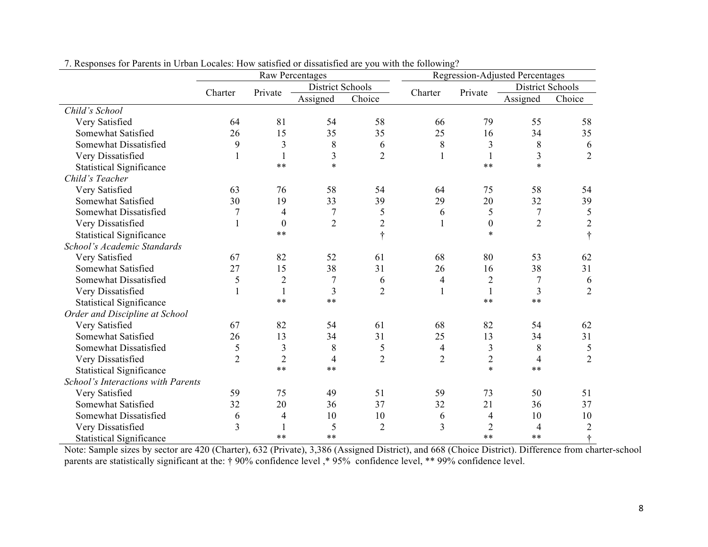|                                    | <b>Raw Percentages</b> |                  |                          |                |                |                  | <b>Regression-Adjusted Percentages</b> |                |
|------------------------------------|------------------------|------------------|--------------------------|----------------|----------------|------------------|----------------------------------------|----------------|
|                                    | Charter                | Private          | <b>District Schools</b>  |                | Charter        | Private          | <b>District Schools</b>                |                |
|                                    |                        |                  | Assigned                 | Choice         |                |                  | Assigned                               | Choice         |
| Child's School                     |                        |                  |                          |                |                |                  |                                        |                |
| Very Satisfied                     | 64                     | 81               | 54                       | 58             | 66             | 79               | 55                                     | 58             |
| Somewhat Satisfied                 | 26                     | 15               | 35                       | 35             | 25             | 16               | 34                                     | 35             |
| Somewhat Dissatisfied              | 9                      | 3                | 8                        | 6              | 8              | 3                | 8                                      | 6              |
| Very Dissatisfied                  |                        | $\mathbf{1}$     | 3                        | $\overline{2}$ |                |                  | 3                                      | $\overline{2}$ |
| <b>Statistical Significance</b>    |                        | $**$             | $\ast$                   |                |                | $**$             | $\ast$                                 |                |
| Child's Teacher                    |                        |                  |                          |                |                |                  |                                        |                |
| Very Satisfied                     | 63                     | 76               | 58                       | 54             | 64             | 75               | 58                                     | 54             |
| Somewhat Satisfied                 | 30                     | 19               | 33                       | 39             | 29             | 20               | 32                                     | 39             |
| Somewhat Dissatisfied              | $\overline{7}$         | 4                | $\boldsymbol{7}$         | 5              | 6              | 5                | $\overline{7}$                         | 5              |
| Very Dissatisfied                  | 1                      | $\boldsymbol{0}$ | $\overline{2}$           | $\mathfrak{2}$ |                | $\boldsymbol{0}$ | $\overline{2}$                         | $\mathbf{2}$   |
| <b>Statistical Significance</b>    |                        | $**$             |                          | $\ddagger$     |                | $\ast$           |                                        | $\ddot{\tau}$  |
| School's Academic Standards        |                        |                  |                          |                |                |                  |                                        |                |
| Very Satisfied                     | 67                     | 82               | 52                       | 61             | 68             | 80               | 53                                     | 62             |
| Somewhat Satisfied                 | 27                     | 15               | 38                       | 31             | 26             | 16               | 38                                     | 31             |
| Somewhat Dissatisfied              | 5                      | $\overline{2}$   | $\overline{7}$           | 6              | 4              | $\overline{2}$   | 7                                      | 6              |
| Very Dissatisfied                  |                        | $\mathbf{1}$     | 3                        | $\overline{2}$ | 1              | $\mathbf{1}$     | 3                                      | $\overline{2}$ |
| <b>Statistical Significance</b>    |                        | $***$            | $***$                    |                |                | $**$             | $\ast\ast$                             |                |
| Order and Discipline at School     |                        |                  |                          |                |                |                  |                                        |                |
| Very Satisfied                     | 67                     | 82               | 54                       | 61             | 68             | 82               | 54                                     | 62             |
| Somewhat Satisfied                 | 26                     | 13               | 34                       | 31             | 25             | 13               | 34                                     | 31             |
| Somewhat Dissatisfied              | 5                      | $\overline{3}$   | 8                        | 5              | 4              | 3                | 8                                      | 5              |
| Very Dissatisfied                  | $\overline{2}$         | $\overline{2}$   | $\overline{\mathcal{A}}$ | $\overline{2}$ | $\overline{2}$ | $\overline{2}$   | $\overline{\mathcal{A}}$               | $\overline{2}$ |
| <b>Statistical Significance</b>    |                        | $**$             | $***$                    |                |                | $\ast$           | $**$                                   |                |
| School's Interactions with Parents |                        |                  |                          |                |                |                  |                                        |                |
| Very Satisfied                     | 59                     | 75               | 49                       | 51             | 59             | 73               | 50                                     | 51             |
| Somewhat Satisfied                 | 32                     | 20               | 36                       | 37             | 32             | 21               | 36                                     | 37             |
| Somewhat Dissatisfied              | 6                      | 4                | 10                       | 10             | 6              | 4                | 10                                     | 10             |
| Very Dissatisfied                  | 3                      |                  | 5                        | $\overline{2}$ | 3              | $\overline{2}$   | 4                                      | $\overline{2}$ |
| <b>Statistical Significance</b>    |                        | $**$             | $**$                     |                |                | $**$             | $**$                                   |                |

7. Responses for Parents in Urban Locales: How satisfied or dissatisfied are you with the following?

Note: Sample sizes by sector are 420 (Charter), 632 (Private), 3,386 (Assigned District), and 668 (Choice District). Difference from charter-school parents are statistically significant at the: † 90% confidence level, \* 95% confidence level, \*\* 99% confidence level.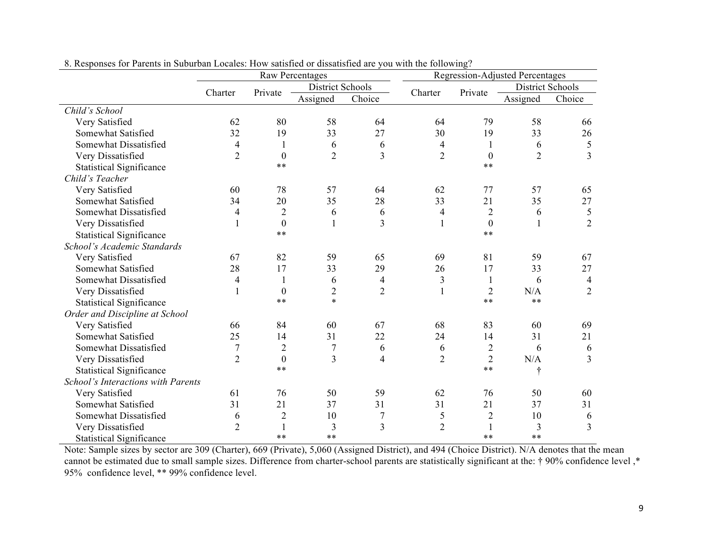|                                    |                  |                  | <b>Raw Percentages</b> |                |                |                  | <b>Regression-Adjusted Percentages</b> |                |
|------------------------------------|------------------|------------------|------------------------|----------------|----------------|------------------|----------------------------------------|----------------|
|                                    |                  |                  | District Schools       |                |                |                  | District Schools                       |                |
|                                    | Charter          | Private          | Assigned               | Choice         | Charter        | Private          | Assigned                               | Choice         |
| Child's School                     |                  |                  |                        |                |                |                  |                                        |                |
| Very Satisfied                     | 62               | 80               | 58                     | 64             | 64             | 79               | 58                                     | 66             |
| Somewhat Satisfied                 | 32               | 19               | 33                     | 27             | 30             | 19               | 33                                     | 26             |
| Somewhat Dissatisfied              | 4                |                  | 6                      | 6              | 4              | 1                | 6                                      | $\mathfrak s$  |
| Very Dissatisfied                  | $\overline{2}$   | $\boldsymbol{0}$ | $\overline{2}$         | 3              | $\overline{2}$ | $\overline{0}$   | $\overline{2}$                         | $\overline{3}$ |
| <b>Statistical Significance</b>    |                  | **               |                        |                |                | $**$             |                                        |                |
| Child's Teacher                    |                  |                  |                        |                |                |                  |                                        |                |
| Very Satisfied                     | 60               | 78               | 57                     | 64             | 62             | 77               | 57                                     | 65             |
| Somewhat Satisfied                 | 34               | 20               | 35                     | 28             | 33             | 21               | 35                                     | 27             |
| Somewhat Dissatisfied              | 4                | $\overline{2}$   | 6                      | 6              | 4              | $\overline{2}$   | 6                                      | $\mathfrak{S}$ |
| Very Dissatisfied                  | 1                | $\boldsymbol{0}$ | $\mathbf{1}$           | 3              | 1              | $\boldsymbol{0}$ | 1                                      | $\overline{2}$ |
| <b>Statistical Significance</b>    |                  | $***$            |                        |                |                | $**$             |                                        |                |
| School's Academic Standards        |                  |                  |                        |                |                |                  |                                        |                |
| Very Satisfied                     | 67               | 82               | 59                     | 65             | 69             | 81               | 59                                     | 67             |
| Somewhat Satisfied                 | 28               | 17               | 33                     | 29             | 26             | 17               | 33                                     | 27             |
| Somewhat Dissatisfied              | 4                | 1                | 6                      | 4              | 3              | 1                | 6                                      | 4              |
| Very Dissatisfied                  | $\mathbf{1}$     | $\theta$         | $\overline{2}$         | $\overline{2}$ |                | $\overline{2}$   | N/A                                    | $\overline{2}$ |
| <b>Statistical Significance</b>    |                  | **               | $\ast$                 |                |                | $**$             | $**$                                   |                |
| Order and Discipline at School     |                  |                  |                        |                |                |                  |                                        |                |
| Very Satisfied                     | 66               | 84               | 60                     | 67             | 68             | 83               | 60                                     | 69             |
| Somewhat Satisfied                 | 25               | 14               | 31                     | 22             | 24             | 14               | 31                                     | 21             |
| Somewhat Dissatisfied              | $\boldsymbol{7}$ | $\overline{2}$   | $\overline{7}$         | 6              | 6              | $\overline{2}$   | 6                                      | 6              |
| Very Dissatisfied                  | $\overline{2}$   | $\boldsymbol{0}$ | 3                      | 4              | $\overline{2}$ | $\overline{2}$   | N/A                                    | 3              |
| <b>Statistical Significance</b>    |                  | $***$            |                        |                |                | $***$            | ÷                                      |                |
| School's Interactions with Parents |                  |                  |                        |                |                |                  |                                        |                |
| Very Satisfied                     | 61               | 76               | 50                     | 59             | 62             | 76               | 50                                     | 60             |
| Somewhat Satisfied                 | 31               | 21               | 37                     | 31             | 31             | 21               | 37                                     | 31             |
| Somewhat Dissatisfied              | 6                | $\overline{2}$   | 10                     | 7              | 5              | $\overline{2}$   | 10                                     | 6              |
| Very Dissatisfied                  | $\overline{2}$   |                  | $\overline{3}$         | 3              | $\overline{2}$ |                  | 3                                      | 3              |
| <b>Statistical Significance</b>    |                  | $**$             | $**$                   |                |                | $**$             | $**$                                   |                |

8. Responses for Parents in Suburban Locales: How satisfied or dissatisfied are you with the following?

Note: Sample sizes by sector are 309 (Charter), 669 (Private), 5,060 (Assigned District), and 494 (Choice District). N/A denotes that the mean cannot be estimated due to small sample sizes. Difference from charter-school parents are statistically significant at the: † 90% confidence level ,\* 95% confidence level, \*\* 99% confidence level.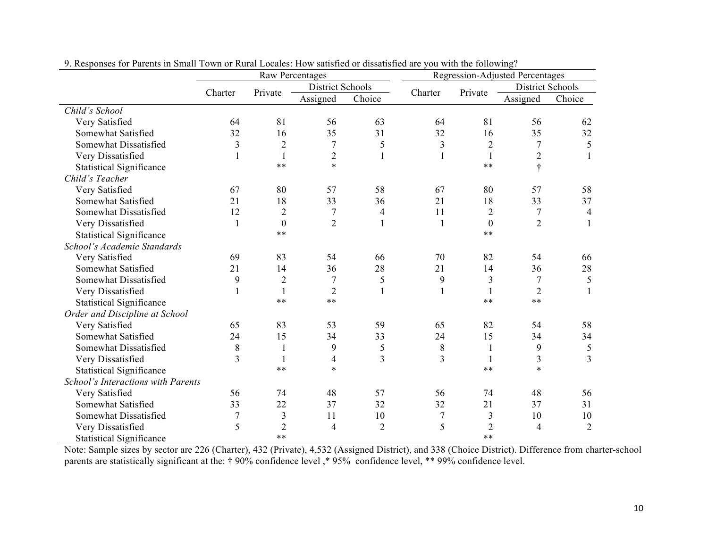|                                    | <b>Raw Percentages</b> |                  |                         |                |                  |                | <b>Regression-Adjusted Percentages</b> |                |
|------------------------------------|------------------------|------------------|-------------------------|----------------|------------------|----------------|----------------------------------------|----------------|
|                                    | Charter                | Private          | <b>District Schools</b> |                | Charter          | Private        | <b>District Schools</b>                |                |
|                                    |                        |                  | Assigned                | Choice         |                  |                | Assigned                               | Choice         |
| Child's School                     |                        |                  |                         |                |                  |                |                                        |                |
| Very Satisfied                     | 64                     | 81               | 56                      | 63             | 64               | 81             | 56                                     | 62             |
| Somewhat Satisfied                 | 32                     | 16               | 35                      | 31             | 32               | 16             | 35                                     | 32             |
| Somewhat Dissatisfied              | $\overline{3}$         | $\overline{2}$   | $\overline{7}$          | 5              | 3                | $\mathbf{2}$   | 7                                      | 5              |
| Very Dissatisfied                  |                        | $\mathbf{1}$     | $\overline{2}$          |                |                  | $\mathbf{1}$   | $\overline{2}$                         |                |
| <b>Statistical Significance</b>    |                        | $***$            | $\ast$                  |                |                  | $**$           | $\ddagger$                             |                |
| Child's Teacher                    |                        |                  |                         |                |                  |                |                                        |                |
| Very Satisfied                     | 67                     | 80               | 57                      | 58             | 67               | 80             | 57                                     | 58             |
| Somewhat Satisfied                 | 21                     | 18               | 33                      | 36             | 21               | 18             | 33                                     | 37             |
| Somewhat Dissatisfied              | 12                     | $\overline{2}$   | $\boldsymbol{7}$        | 4              | 11               | $\mathbf{2}$   | $\overline{7}$                         | $\overline{4}$ |
| Very Dissatisfied                  | $\mathbf{1}$           | $\boldsymbol{0}$ | $\overline{2}$          |                |                  | $\mathbf{0}$   | $\overline{2}$                         |                |
| <b>Statistical Significance</b>    |                        | $***$            |                         |                |                  | $***$          |                                        |                |
| School's Academic Standards        |                        |                  |                         |                |                  |                |                                        |                |
| Very Satisfied                     | 69                     | 83               | 54                      | 66             | 70               | 82             | 54                                     | 66             |
| Somewhat Satisfied                 | 21                     | 14               | 36                      | 28             | 21               | 14             | 36                                     | 28             |
| Somewhat Dissatisfied              | 9                      | $\overline{2}$   | $\overline{7}$          | 5              | 9                | 3              | 7                                      | $\mathfrak s$  |
| Very Dissatisfied                  |                        | 1                | $\overline{2}$          |                |                  |                | $\overline{2}$                         |                |
| <b>Statistical Significance</b>    |                        | $***$            | $***$                   |                |                  | $***$          | $***$                                  |                |
| Order and Discipline at School     |                        |                  |                         |                |                  |                |                                        |                |
| Very Satisfied                     | 65                     | 83               | 53                      | 59             | 65               | 82             | 54                                     | 58             |
| Somewhat Satisfied                 | 24                     | 15               | 34                      | 33             | 24               | 15             | 34                                     | 34             |
| Somewhat Dissatisfied              | $\,8\,$                | $\mathbf{1}$     | 9                       | 5              | $\,$ $\,$        | $\mathbf{1}$   | 9                                      | $\mathfrak s$  |
| Very Dissatisfied                  | 3                      | 1                | 4                       | 3              | $\overline{3}$   | 1              | $\mathfrak{Z}$                         | $\overline{3}$ |
| <b>Statistical Significance</b>    |                        | $***$            | $\ast$                  |                |                  | $***$          | $\ast$                                 |                |
| School's Interactions with Parents |                        |                  |                         |                |                  |                |                                        |                |
| Very Satisfied                     | 56                     | 74               | 48                      | 57             | 56               | 74             | 48                                     | 56             |
| Somewhat Satisfied                 | 33                     | 22               | 37                      | 32             | 32               | 21             | 37                                     | 31             |
| Somewhat Dissatisfied              | 7                      | 3                | 11                      | 10             | $\boldsymbol{7}$ | 3              | 10                                     | 10             |
| Very Dissatisfied                  | 5                      | $\overline{2}$   | $\overline{4}$          | $\overline{2}$ | 5                | $\overline{2}$ | $\overline{4}$                         | $\overline{2}$ |
| <b>Statistical Significance</b>    |                        | $**$             |                         |                |                  | $**$           |                                        |                |

9. Responses for Parents in Small Town or Rural Locales: How satisfied or dissatisfied are you with the following?

Note: Sample sizes by sector are 226 (Charter), 432 (Private), 4,532 (Assigned District), and 338 (Choice District). Difference from charter-school parents are statistically significant at the: † 90% confidence level, \* 95% confidence level, \*\* 99% confidence level.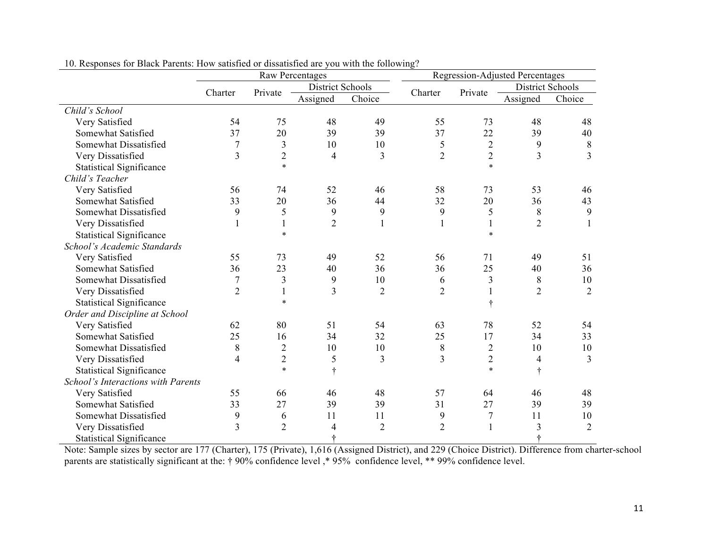|                                    | <b>Raw Percentages</b> |                |                  |                |                |                | <b>Regression-Adjusted Percentages</b> |                |
|------------------------------------|------------------------|----------------|------------------|----------------|----------------|----------------|----------------------------------------|----------------|
|                                    | Charter                | Private        | District Schools |                | Charter        | Private        | <b>District Schools</b>                |                |
|                                    |                        |                | Assigned         | Choice         |                |                | Assigned                               | Choice         |
| Child's School                     |                        |                |                  |                |                |                |                                        |                |
| Very Satisfied                     | 54                     | 75             | 48               | 49             | 55             | 73             | 48                                     | 48             |
| Somewhat Satisfied                 | 37                     | 20             | 39               | 39             | 37             | 22             | 39                                     | 40             |
| Somewhat Dissatisfied              | 7                      | 3              | 10               | 10             | 5              | $\overline{2}$ | 9                                      | 8              |
| Very Dissatisfied                  | 3                      | $\overline{2}$ | 4                | 3              | $\overline{2}$ | $\overline{2}$ | $\overline{3}$                         | 3              |
| <b>Statistical Significance</b>    |                        | $\star$        |                  |                |                | $\ast$         |                                        |                |
| Child's Teacher                    |                        |                |                  |                |                |                |                                        |                |
| Very Satisfied                     | 56                     | 74             | 52               | 46             | 58             | 73             | 53                                     | 46             |
| Somewhat Satisfied                 | 33                     | 20             | 36               | 44             | 32             | 20             | 36                                     | 43             |
| Somewhat Dissatisfied              | 9                      | 5              | 9                | 9              | 9              | 5              | 8                                      | 9              |
| Very Dissatisfied                  | $\mathbf{1}$           | 1              | $\overline{2}$   |                |                | $\mathbf{1}$   | $\overline{2}$                         |                |
| <b>Statistical Significance</b>    |                        | $\ast$         |                  |                |                | $\ast$         |                                        |                |
| School's Academic Standards        |                        |                |                  |                |                |                |                                        |                |
| Very Satisfied                     | 55                     | 73             | 49               | 52             | 56             | 71             | 49                                     | 51             |
| Somewhat Satisfied                 | 36                     | 23             | 40               | 36             | 36             | 25             | 40                                     | 36             |
| Somewhat Dissatisfied              |                        | 3              | 9                | 10             | 6              | 3              | 8                                      | 10             |
| Very Dissatisfied                  | $\overline{2}$         |                | 3                | $\overline{2}$ | $\overline{2}$ | 1              | $\overline{2}$                         | $\overline{2}$ |
| <b>Statistical Significance</b>    |                        | $\star$        |                  |                |                | ÷              |                                        |                |
| Order and Discipline at School     |                        |                |                  |                |                |                |                                        |                |
| Very Satisfied                     | 62                     | 80             | 51               | 54             | 63             | 78             | 52                                     | 54             |
| Somewhat Satisfied                 | 25                     | 16             | 34               | 32             | 25             | 17             | 34                                     | 33             |
| Somewhat Dissatisfied              | 8                      | $\overline{2}$ | 10               | 10             | 8              | $\sqrt{2}$     | 10                                     | 10             |
| Very Dissatisfied                  | $\overline{4}$         | $\overline{2}$ | 5                | 3              | 3              | $\overline{2}$ | $\overline{4}$                         | 3              |
| <b>Statistical Significance</b>    |                        | $\star$        | $\ddot{\tau}$    |                |                | $\ast$         | $\dagger$                              |                |
| School's Interactions with Parents |                        |                |                  |                |                |                |                                        |                |
| Very Satisfied                     | 55                     | 66             | 46               | 48             | 57             | 64             | 46                                     | 48             |
| Somewhat Satisfied                 | 33                     | 27             | 39               | 39             | 31             | 27             | 39                                     | 39             |
| Somewhat Dissatisfied              | 9                      | 6              | 11               | 11             | 9              | $\overline{7}$ | 11                                     | 10             |
| Very Dissatisfied                  | 3                      | $\overline{2}$ | 4                | $\overline{2}$ | $\overline{2}$ | $\mathbf{1}$   | 3                                      | $\overline{2}$ |
| <b>Statistical Significance</b>    |                        |                | ÷                |                |                |                | ÷                                      |                |

10. Responses for Black Parents: How satisfied or dissatisfied are you with the following?

Note: Sample sizes by sector are 177 (Charter), 175 (Private), 1,616 (Assigned District), and 229 (Choice District). Difference from charter-school parents are statistically significant at the: † 90% confidence level, \* 95% confidence level, \*\* 99% confidence level.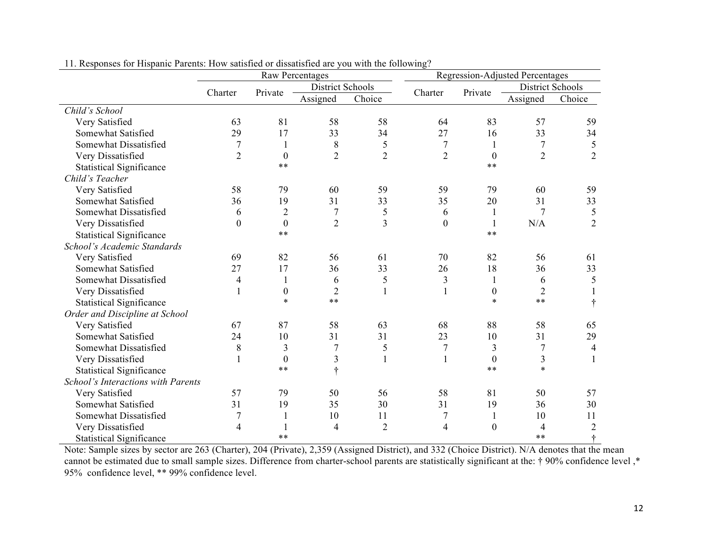|                                    | Raw Percentages |                  |                  |                |                  |                  | <b>Regression-Adjusted Percentages</b> |                  |
|------------------------------------|-----------------|------------------|------------------|----------------|------------------|------------------|----------------------------------------|------------------|
|                                    | Charter         | Private          | District Schools |                | Charter          | Private          | District Schools                       |                  |
|                                    |                 |                  | Assigned         | Choice         |                  |                  | Assigned                               | Choice           |
| Child's School                     |                 |                  |                  |                |                  |                  |                                        |                  |
| Very Satisfied                     | 63              | 81               | 58               | 58             | 64               | 83               | 57                                     | 59               |
| Somewhat Satisfied                 | 29              | 17               | 33               | 34             | 27               | 16               | 33                                     | 34               |
| Somewhat Dissatisfied              | 7               | 1                | 8                | 5              | $\tau$           | 1                | 7                                      | 5                |
| Very Dissatisfied                  | $\overline{2}$  | $\boldsymbol{0}$ | $\overline{2}$   | $\overline{2}$ | $\overline{2}$   | $\boldsymbol{0}$ | $\overline{2}$                         | $\overline{2}$   |
| <b>Statistical Significance</b>    |                 | $**$             |                  |                |                  | $**$             |                                        |                  |
| Child's Teacher                    |                 |                  |                  |                |                  |                  |                                        |                  |
| Very Satisfied                     | 58              | 79               | 60               | 59             | 59               | 79               | 60                                     | 59               |
| Somewhat Satisfied                 | 36              | 19               | 31               | 33             | 35               | 20               | 31                                     | 33               |
| Somewhat Dissatisfied              | 6               | $\overline{2}$   | $\overline{7}$   | 5              | 6                | 1                | 7                                      | 5                |
| Very Dissatisfied                  | $\theta$        | $\boldsymbol{0}$ | $\overline{2}$   | $\overline{3}$ | $\boldsymbol{0}$ |                  | N/A                                    | $\overline{2}$   |
| <b>Statistical Significance</b>    |                 | $**$             |                  |                |                  | $**$             |                                        |                  |
| School's Academic Standards        |                 |                  |                  |                |                  |                  |                                        |                  |
| Very Satisfied                     | 69              | 82               | 56               | 61             | 70               | 82               | 56                                     | 61               |
| Somewhat Satisfied                 | 27              | 17               | 36               | 33             | 26               | 18               | 36                                     | 33               |
| Somewhat Dissatisfied              | 4               | 1                | 6                | 5              | 3                | 1                | 6                                      | 5                |
| Very Dissatisfied                  |                 | $\boldsymbol{0}$ | $\overline{2}$   |                |                  | $\boldsymbol{0}$ | $\overline{2}$                         |                  |
| <b>Statistical Significance</b>    |                 | $\ast$           | $**$             |                |                  | $\ast$           | $**$                                   | $\ddot{\dagger}$ |
| Order and Discipline at School     |                 |                  |                  |                |                  |                  |                                        |                  |
| Very Satisfied                     | 67              | 87               | 58               | 63             | 68               | 88               | 58                                     | 65               |
| Somewhat Satisfied                 | 24              | 10               | 31               | 31             | 23               | 10               | 31                                     | 29               |
| Somewhat Dissatisfied              | 8               | 3                | $\overline{7}$   | 5              | $\overline{7}$   | 3                | $\overline{7}$                         | 4                |
| Very Dissatisfied                  |                 | $\boldsymbol{0}$ | 3                |                | $\mathbf{1}$     | $\boldsymbol{0}$ | 3                                      | $\mathbf{1}$     |
| <b>Statistical Significance</b>    |                 | $***$            | $\ddagger$       |                |                  | $***$            | $\ast$                                 |                  |
| School's Interactions with Parents |                 |                  |                  |                |                  |                  |                                        |                  |
| Very Satisfied                     | 57              | 79               | 50               | 56             | 58               | 81               | 50                                     | 57               |
| Somewhat Satisfied                 | 31              | 19               | 35               | 30             | 31               | 19               | 36                                     | 30               |
| Somewhat Dissatisfied              | 7               | 1                | 10               | 11             | $\boldsymbol{7}$ |                  | 10                                     | 11               |
| Very Dissatisfied                  | 4               |                  | $\overline{4}$   | $\overline{2}$ | $\overline{4}$   | $\boldsymbol{0}$ | 4                                      | $\sqrt{2}$       |
| <b>Statistical Significance</b>    |                 | $**$             |                  |                |                  |                  | $**$                                   | ÷                |

11. Responses for Hispanic Parents: How satisfied or dissatisfied are you with the following?

Note: Sample sizes by sector are 263 (Charter), 204 (Private), 2,359 (Assigned District), and 332 (Choice District). N/A denotes that the mean cannot be estimated due to small sample sizes. Difference from charter-school parents are statistically significant at the: † 90% confidence level ,\* 95% confidence level, \*\* 99% confidence level.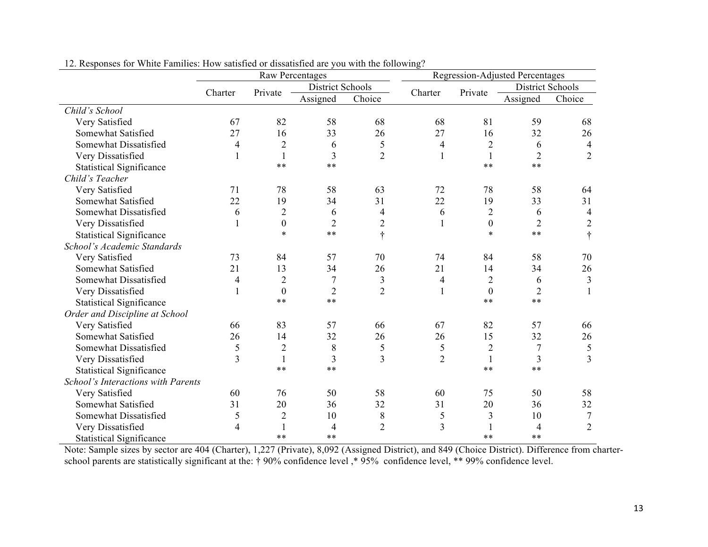|                                    | <b>Raw Percentages</b> |                  |                  |                |                |                  | <b>Regression-Adjusted Percentages</b> |                |
|------------------------------------|------------------------|------------------|------------------|----------------|----------------|------------------|----------------------------------------|----------------|
|                                    | Charter                | Private          | District Schools |                | Charter        | Private          | <b>District Schools</b>                |                |
|                                    |                        |                  | Assigned         | Choice         |                |                  | Assigned                               | Choice         |
| Child's School                     |                        |                  |                  |                |                |                  |                                        |                |
| Very Satisfied                     | 67                     | 82               | 58               | 68             | 68             | 81               | 59                                     | 68             |
| Somewhat Satisfied                 | 27                     | 16               | 33               | 26             | 27             | 16               | 32                                     | 26             |
| Somewhat Dissatisfied              | 4                      | $\overline{2}$   | 6                | 5              | $\overline{4}$ | $\overline{2}$   | 6                                      | $\overline{4}$ |
| Very Dissatisfied                  |                        | 1                | $\overline{3}$   | $\overline{2}$ | 1              | $\mathbf{1}$     | $\overline{2}$                         | $\overline{2}$ |
| <b>Statistical Significance</b>    |                        | $***$            | $***$            |                |                | $**$             | $**$                                   |                |
| Child's Teacher                    |                        |                  |                  |                |                |                  |                                        |                |
| Very Satisfied                     | 71                     | 78               | 58               | 63             | 72             | 78               | 58                                     | 64             |
| Somewhat Satisfied                 | 22                     | 19               | 34               | 31             | 22             | 19               | 33                                     | 31             |
| Somewhat Dissatisfied              | 6                      | $\overline{2}$   | 6                | 4              | 6              | $\overline{2}$   | 6                                      | $\overline{4}$ |
| Very Dissatisfied                  |                        | $\boldsymbol{0}$ | $\overline{2}$   | $\overline{2}$ | 1              | $\boldsymbol{0}$ | $\overline{2}$                         | $\overline{2}$ |
| <b>Statistical Significance</b>    |                        | $\ast$           | $***$            | ÷              |                | $\ast$           | $***$                                  | $\ddot{\tau}$  |
| School's Academic Standards        |                        |                  |                  |                |                |                  |                                        |                |
| Very Satisfied                     | 73                     | 84               | 57               | 70             | 74             | 84               | 58                                     | 70             |
| Somewhat Satisfied                 | 21                     | 13               | 34               | 26             | 21             | 14               | 34                                     | 26             |
| Somewhat Dissatisfied              | 4                      | $\overline{2}$   | $\overline{7}$   | 3              | 4              | $\overline{2}$   | 6                                      | $\mathfrak{Z}$ |
| Very Dissatisfied                  |                        | $\theta$         | $\overline{2}$   | $\overline{2}$ | 1              | $\theta$         | $\overline{2}$                         | $\mathbf{1}$   |
| <b>Statistical Significance</b>    |                        | $***$            | $**$             |                |                | $**$             | $**$                                   |                |
| Order and Discipline at School     |                        |                  |                  |                |                |                  |                                        |                |
| Very Satisfied                     | 66                     | 83               | 57               | 66             | 67             | 82               | 57                                     | 66             |
| Somewhat Satisfied                 | 26                     | 14               | 32               | 26             | 26             | 15               | 32                                     | 26             |
| Somewhat Dissatisfied              | 5                      | $\overline{2}$   | 8                | 5              | 5              | $\overline{c}$   | $\overline{7}$                         | $\mathfrak s$  |
| Very Dissatisfied                  | $\overline{3}$         | 1                | 3                | 3              | $\overline{2}$ | 1                | $\overline{3}$                         | $\overline{3}$ |
| <b>Statistical Significance</b>    |                        | $***$            | $***$            |                |                | $**$             | $**$                                   |                |
| School's Interactions with Parents |                        |                  |                  |                |                |                  |                                        |                |
| Very Satisfied                     | 60                     | 76               | 50               | 58             | 60             | 75               | 50                                     | 58             |
| Somewhat Satisfied                 | 31                     | 20               | 36               | 32             | 31             | 20               | 36                                     | 32             |
| Somewhat Dissatisfied              | 5                      | $\overline{2}$   | 10               | 8              | 5              | 3                | 10                                     | $\overline{7}$ |
| Very Dissatisfied                  | 4                      |                  | $\overline{4}$   | $\overline{2}$ | 3              |                  | 4                                      | $\overline{2}$ |
| <b>Statistical Significance</b>    |                        | $**$             | $**$             |                |                | $**$             | $**$                                   |                |

12. Responses for White Families: How satisfied or dissatisfied are you with the following?

Note: Sample sizes by sector are 404 (Charter), 1,227 (Private), 8,092 (Assigned District), and 849 (Choice District). Difference from charterschool parents are statistically significant at the: † 90% confidence level, \* 95% confidence level, \*\* 99% confidence level.